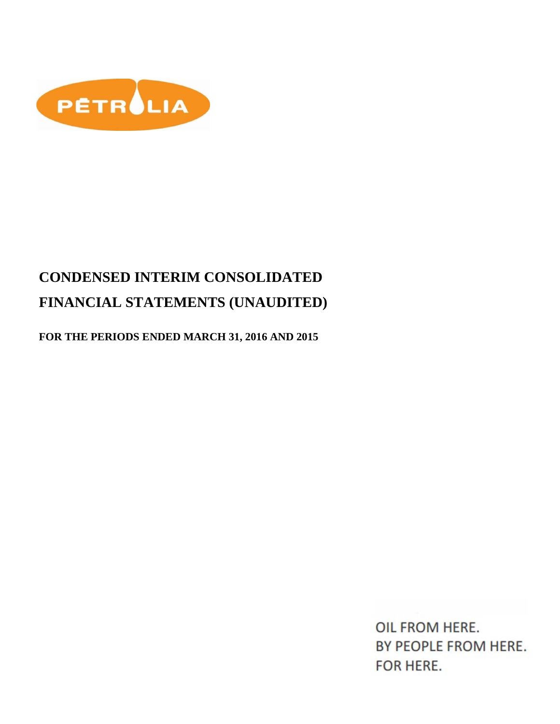

# **CONDENSED INTERIM CONSOLIDATED FINANCIAL STATEMENTS (UNAUDITED)**

**FOR THE PERIODS ENDED MARCH 31, 2016 AND 2015**

OIL FROM HERE. BY PEOPLE FROM HERE. FOR HERE.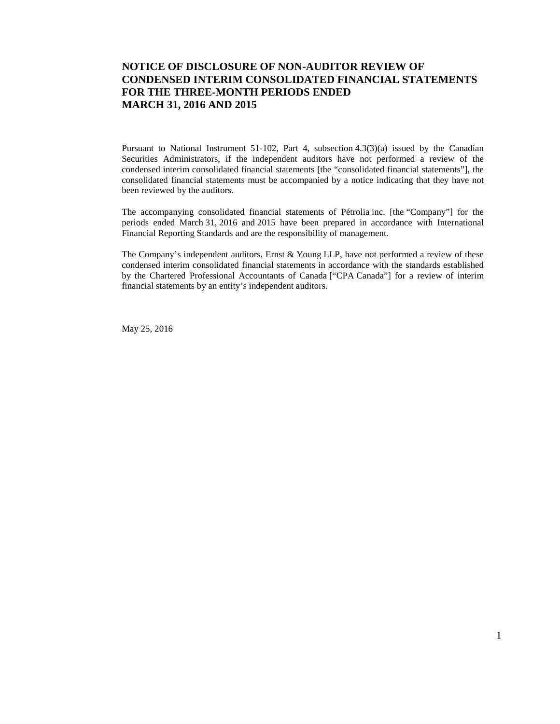### **NOTICE OF DISCLOSURE OF NON-AUDITOR REVIEW OF CONDENSED INTERIM CONSOLIDATED FINANCIAL STATEMENTS FOR THE THREE-MONTH PERIODS ENDED MARCH 31, 2016 AND 2015**

Pursuant to National Instrument 51-102, Part 4, subsection 4.3(3)(a) issued by the Canadian Securities Administrators, if the independent auditors have not performed a review of the condensed interim consolidated financial statements [the "consolidated financial statements"], the consolidated financial statements must be accompanied by a notice indicating that they have not been reviewed by the auditors.

The accompanying consolidated financial statements of Pétrolia inc. [the "Company"] for the periods ended March 31, 2016 and 2015 have been prepared in accordance with International Financial Reporting Standards and are the responsibility of management.

The Company's independent auditors, Ernst & Young LLP, have not performed a review of these condensed interim consolidated financial statements in accordance with the standards established by the Chartered Professional Accountants of Canada ["CPA Canada"] for a review of interim financial statements by an entity's independent auditors.

May 25, 2016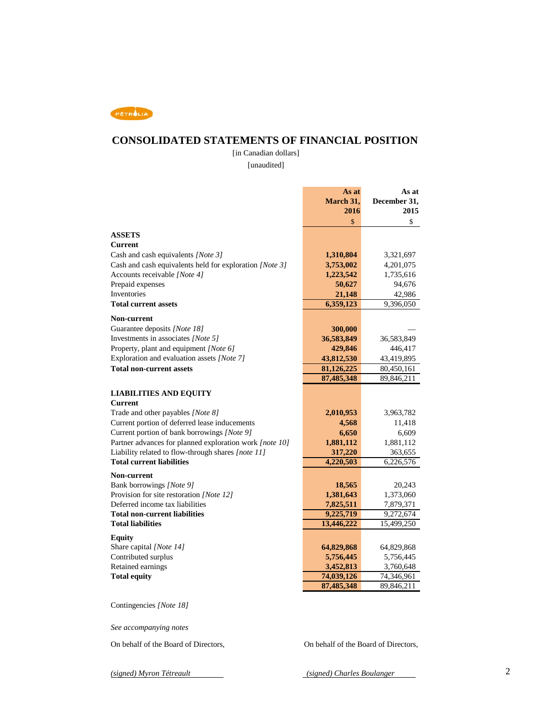

### **CONSOLIDATED STATEMENTS OF FINANCIAL POSITION**

[in Canadian dollars]

[unaudited]

|                                                         | As at                                | As at                  |
|---------------------------------------------------------|--------------------------------------|------------------------|
|                                                         | March 31,                            | December 31,           |
|                                                         | 2016                                 | 2015                   |
|                                                         | \$                                   | \$                     |
| <b>ASSETS</b>                                           |                                      |                        |
| <b>Current</b>                                          |                                      |                        |
| Cash and cash equivalents [Note 3]                      | 1,310,804                            | 3,321,697              |
| Cash and cash equivalents held for exploration [Note 3] |                                      |                        |
| Accounts receivable [Note 4]                            | 3,753,002                            | 4,201,075              |
| Prepaid expenses                                        | 1,223,542<br>50,627                  | 1,735,616<br>94,676    |
| Inventories                                             | 21,148                               | 42,986                 |
| <b>Total current assets</b>                             | 6,359,123                            | 9,396,050              |
|                                                         |                                      |                        |
| <b>Non-current</b>                                      |                                      |                        |
| Guarantee deposits [Note 18]                            | 300,000                              |                        |
| Investments in associates [Note 5]                      | 36,583,849                           | 36,583,849             |
| Property, plant and equipment [Note 6]                  | 429,846                              | 446,417                |
| Exploration and evaluation assets [Note 7]              | 43,812,530                           | 43,419,895             |
| <b>Total non-current assets</b>                         | 81,126,225                           | 80,450,161             |
|                                                         | 87,485,348                           | 89,846,211             |
|                                                         |                                      |                        |
| <b>LIABILITIES AND EQUITY</b>                           |                                      |                        |
| <b>Current</b>                                          |                                      |                        |
| Trade and other payables [Note 8]                       | 2,010,953                            | 3,963,782              |
| Current portion of deferred lease inducements           | 4,568                                | 11,418                 |
| Current portion of bank borrowings [Note 9]             | 6,650                                | 6,609                  |
| Partner advances for planned exploration work [note 10] | 1,881,112                            | 1,881,112              |
| Liability related to flow-through shares [note 11]      | 317,220                              | 363,655                |
| <b>Total current liabilities</b>                        | 4,220,503                            | 6,226,576              |
| Non-current                                             |                                      |                        |
| Bank borrowings [Note 9]                                | 18,565                               | 20,243                 |
| Provision for site restoration [Note 12]                | 1,381,643                            | 1,373,060              |
| Deferred income tax liabilities                         | 7,825,511                            | 7,879,371              |
| <b>Total non-current liabilities</b>                    | 9,225,719                            | $\overline{9,272,674}$ |
| <b>Total liabilities</b>                                | 13,446,222                           | 15,499,250             |
| <b>Equity</b>                                           |                                      |                        |
| Share capital [Note 14]                                 | 64,829,868                           | 64,829,868             |
| Contributed surplus                                     | 5,756,445                            | 5,756,445              |
| Retained earnings                                       | 3,452,813                            | 3,760,648              |
| <b>Total equity</b>                                     | 74,039,126                           | 74,346,961             |
|                                                         | 87,485,348                           | 89,846,211             |
|                                                         |                                      |                        |
| Contingencies [Note 18]                                 |                                      |                        |
|                                                         |                                      |                        |
| See accompanying notes                                  |                                      |                        |
|                                                         |                                      |                        |
| On behalf of the Board of Directors,                    | On behalf of the Board of Directors, |                        |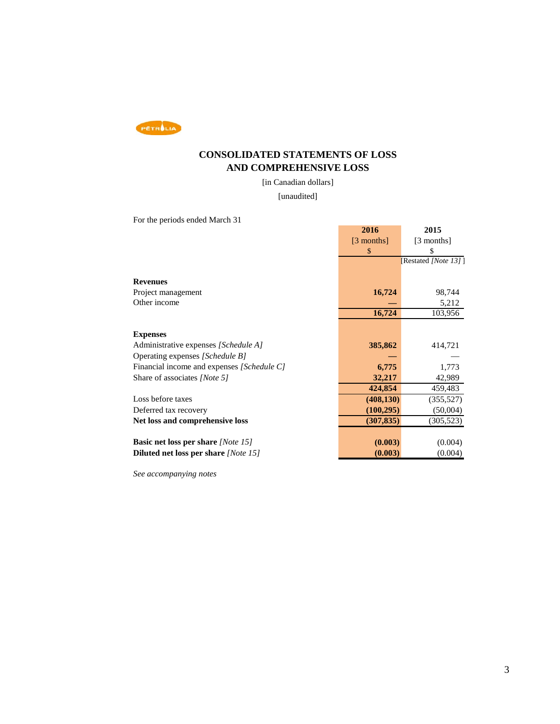

### **CONSOLIDATED STATEMENTS OF LOSS AND COMPREHENSIVE LOSS**

[in Canadian dollars]

[unaudited]

For the periods ended March 31

|                                            | 2016       | 2015                 |
|--------------------------------------------|------------|----------------------|
|                                            | [3 months] | [3 months]           |
|                                            | \$         | \$                   |
|                                            |            | [Restated [Note 13]] |
| <b>Revenues</b>                            |            |                      |
|                                            |            |                      |
| Project management                         | 16,724     | 98,744               |
| Other income                               |            | 5,212                |
|                                            | 16,724     | 103,956              |
|                                            |            |                      |
| <b>Expenses</b>                            |            |                      |
| Administrative expenses [Schedule A]       | 385,862    | 414,721              |
| Operating expenses [Schedule B]            |            |                      |
| Financial income and expenses [Schedule C] | 6,775      | 1,773                |
| Share of associates [Note 5]               | 32,217     | 42,989               |
|                                            | 424,854    | 459,483              |
| Loss before taxes                          | (408, 130) | (355, 527)           |
| Deferred tax recovery                      | (100, 295) | (50,004)             |
| Net loss and comprehensive loss            | (307, 835) | (305, 523)           |
|                                            |            |                      |
| <b>Basic net loss per share</b> [Note 15]  | (0.003)    | (0.004)              |
| Diluted net loss per share [Note 15]       | (0.003)    | (0.004)              |

*See accompanying notes*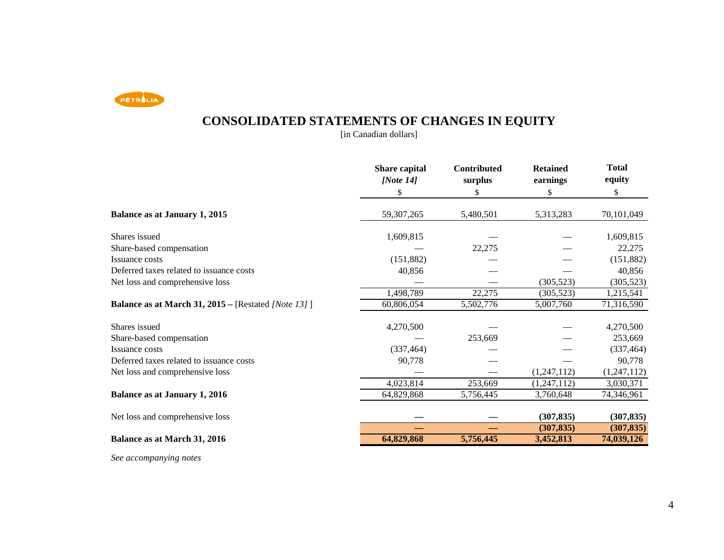PETROLIA

# **CONSOLIDATED STATEMENTS OF CHANGES IN EQUITY**

[in Canadian dollars]

|                                                            | <b>Share capital</b><br>[Note $14$ ] | Contributed<br>surplus | <b>Retained</b><br>earnings | <b>Total</b><br>equity |
|------------------------------------------------------------|--------------------------------------|------------------------|-----------------------------|------------------------|
|                                                            | \$                                   | \$                     | \$                          | \$                     |
| <b>Balance as at January 1, 2015</b>                       | 59, 307, 265                         | 5,480,501              | 5,313,283                   | 70,101,049             |
| Shares issued                                              | 1,609,815                            |                        |                             | 1,609,815              |
| Share-based compensation                                   |                                      | 22,275                 |                             | 22,275                 |
| Issuance costs                                             | (151, 882)                           |                        |                             | (151, 882)             |
| Deferred taxes related to issuance costs                   | 40,856                               |                        |                             | 40,856                 |
| Net loss and comprehensive loss                            |                                      |                        | (305, 523)                  | (305, 523)             |
|                                                            | 1,498,789                            | 22,275                 | (305, 523)                  | 1,215,541              |
| <b>Balance as at March 31, 2015</b> – [Restated [Note 13]] | 60,806,054                           | 5,502,776              | 5,007,760                   | 71,316,590             |
| Shares issued                                              | 4,270,500                            |                        |                             | 4,270,500              |
| Share-based compensation                                   |                                      | 253,669                |                             | 253,669                |
| Issuance costs                                             | (337, 464)                           |                        |                             | (337, 464)             |
| Deferred taxes related to issuance costs                   | 90,778                               |                        |                             | 90,778                 |
| Net loss and comprehensive loss                            |                                      |                        | (1,247,112)                 | (1,247,112)            |
|                                                            | 4,023,814                            | 253,669                | (1,247,112)                 | 3,030,371              |
| <b>Balance as at January 1, 2016</b>                       | 64,829,868                           | 5,756,445              | 3,760,648                   | 74,346,961             |
| Net loss and comprehensive loss                            |                                      |                        | (307, 835)                  | (307, 835)             |
|                                                            |                                      |                        | (307, 835)                  | (307, 835)             |
| Balance as at March 31, 2016                               | 64,829,868                           | 5,756,445              | 3,452,813                   | 74,039,126             |
|                                                            |                                      |                        |                             |                        |

*See accompanying notes*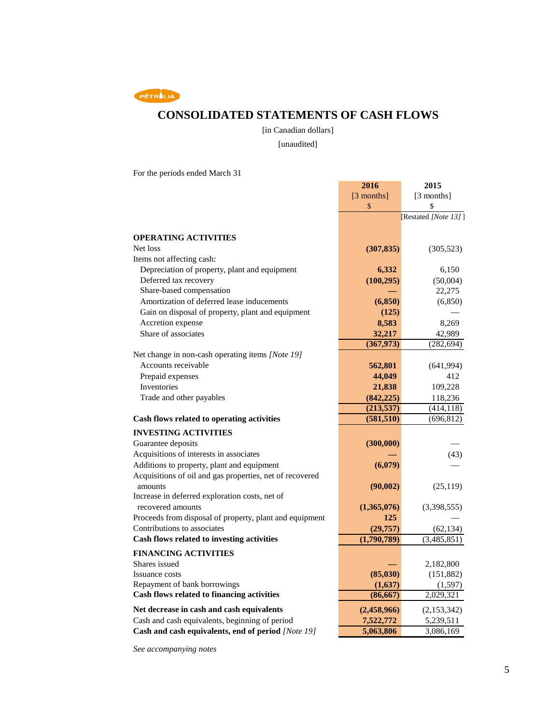PETROLIA

### **CONSOLIDATED STATEMENTS OF CASH FLOWS**

[in Canadian dollars]

[unaudited]

**2016 2015**

For the periods ended March 31

|                                                          | [3 months]  | [3 months]           |
|----------------------------------------------------------|-------------|----------------------|
|                                                          | \$          | \$                   |
|                                                          |             | [Restated [Note 13]] |
|                                                          |             |                      |
| <b>OPERATING ACTIVITIES</b>                              |             |                      |
| Net loss                                                 | (307, 835)  | (305, 523)           |
| Items not affecting cash:                                |             |                      |
| Depreciation of property, plant and equipment            | 6,332       | 6,150                |
| Deferred tax recovery                                    | (100, 295)  | (50,004)             |
| Share-based compensation                                 |             | 22,275               |
| Amortization of deferred lease inducements               | (6, 850)    | (6, 850)             |
| Gain on disposal of property, plant and equipment        | (125)       |                      |
| Accretion expense                                        | 8,583       | 8,269                |
| Share of associates                                      | 32,217      | 42,989               |
|                                                          | (367,973)   | (282, 694)           |
| Net change in non-cash operating items [Note 19]         |             |                      |
| Accounts receivable                                      | 562,801     | (641,994)            |
| Prepaid expenses                                         | 44,049      | 412                  |
| Inventories                                              | 21,838      | 109,228              |
| Trade and other payables                                 | (842, 225)  | 118,236              |
|                                                          | (213, 537)  | (414, 118)           |
| Cash flows related to operating activities               | (581, 510)  | (696, 812)           |
| <b>INVESTING ACTIVITIES</b>                              |             |                      |
| Guarantee deposits                                       | (300,000)   |                      |
| Acquisitions of interests in associates                  |             | (43)                 |
| Additions to property, plant and equipment               | (6,079)     |                      |
| Acquisitions of oil and gas properties, net of recovered |             |                      |
| amounts                                                  | (90,002)    | (25, 119)            |
| Increase in deferred exploration costs, net of           |             |                      |
| recovered amounts                                        | (1,365,076) | (3,398,555)          |
| Proceeds from disposal of property, plant and equipment  | 125         |                      |
| Contributions to associates                              | (29, 757)   | (62, 134)            |
| Cash flows related to investing activities               | (1,790,789) | (3,485,851)          |
| <b>FINANCING ACTIVITIES</b>                              |             |                      |
| Shares issued                                            |             | 2,182,800            |
| <b>Issuance costs</b>                                    | (85,030)    | (151, 882)           |
| Repayment of bank borrowings                             | (1,637)     | (1,597)              |
| Cash flows related to financing activities               | (86, 667)   | 2,029,321            |
|                                                          |             |                      |
| Net decrease in cash and cash equivalents                | (2,458,966) | (2,153,342)          |
| Cash and cash equivalents, beginning of period           | 7,522,772   | 5,239,511            |
| Cash and cash equivalents, end of period [Note 19]       | 5,063,806   | 3,086,169            |

*See accompanying notes*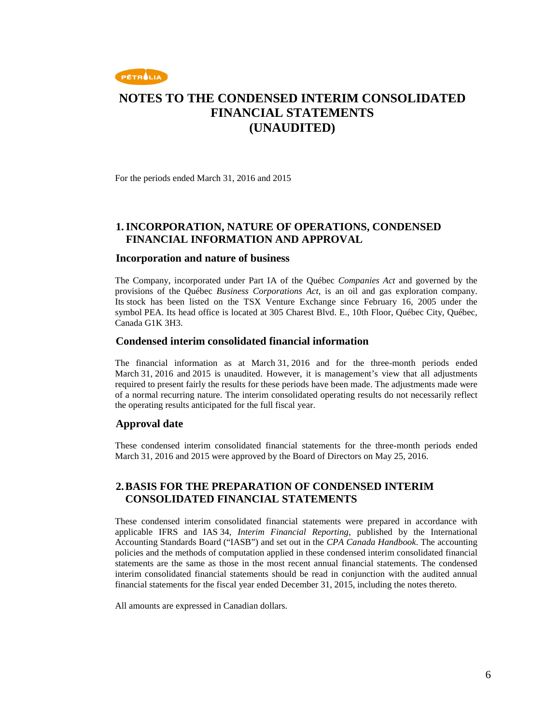

For the periods ended March 31, 2016 and 2015

### **1.INCORPORATION, NATURE OF OPERATIONS, CONDENSED FINANCIAL INFORMATION AND APPROVAL**

#### **Incorporation and nature of business**

The Company, incorporated under Part IA of the Québec *Companies Act* and governed by the provisions of the Québec *Business Corporations Act*, is an oil and gas exploration company. Its stock has been listed on the TSX Venture Exchange since February 16, 2005 under the symbol PEA. Its head office is located at 305 Charest Blvd. E., 10th Floor, Québec City, Québec, Canada G1K 3H3.

#### **Condensed interim consolidated financial information**

The financial information as at March 31, 2016 and for the three-month periods ended March 31, 2016 and 2015 is unaudited. However, it is management's view that all adjustments required to present fairly the results for these periods have been made. The adjustments made were of a normal recurring nature. The interim consolidated operating results do not necessarily reflect the operating results anticipated for the full fiscal year.

#### **Approval date**

These condensed interim consolidated financial statements for the three-month periods ended March 31, 2016 and 2015 were approved by the Board of Directors on May 25, 2016.

### **2. BASIS FOR THE PREPARATION OF CONDENSED INTERIM CONSOLIDATED FINANCIAL STATEMENTS**

These condensed interim consolidated financial statements were prepared in accordance with applicable IFRS and IAS 34, *Interim Financial Reporting*, published by the International Accounting Standards Board ("IASB") and set out in the *CPA Canada Handbook*. The accounting policies and the methods of computation applied in these condensed interim consolidated financial statements are the same as those in the most recent annual financial statements. The condensed interim consolidated financial statements should be read in conjunction with the audited annual financial statements for the fiscal year ended December 31, 2015, including the notes thereto.

All amounts are expressed in Canadian dollars.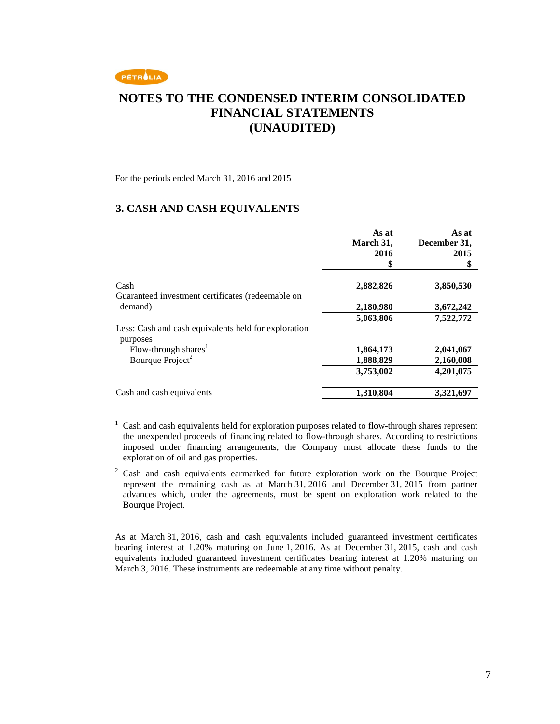

For the periods ended March 31, 2016 and 2015

#### **3. CASH AND CASH EQUIVALENTS**

|                                                                  | As at<br>March 31,<br>2016<br>\$ | As at<br>December 31,<br>2015<br>\$ |
|------------------------------------------------------------------|----------------------------------|-------------------------------------|
| Cash                                                             | 2,882,826                        | 3,850,530                           |
| Guaranteed investment certificates (redeemable on                |                                  |                                     |
| demand)                                                          | 2,180,980                        | 3,672,242                           |
|                                                                  | 5,063,806                        | 7,522,772                           |
| Less: Cash and cash equivalents held for exploration<br>purposes |                                  |                                     |
| Flow-through shares <sup>1</sup>                                 | 1,864,173                        | 2,041,067                           |
| Bourque Project <sup>2</sup>                                     | 1,888,829                        | 2,160,008                           |
|                                                                  | 3,753,002                        | 4,201,075                           |
| Cash and cash equivalents                                        | 1,310,804                        | 3,321,697                           |

- $1$  Cash and cash equivalents held for exploration purposes related to flow-through shares represent the unexpended proceeds of financing related to flow-through shares. According to restrictions imposed under financing arrangements, the Company must allocate these funds to the exploration of oil and gas properties.
- <sup>2</sup> Cash and cash equivalents earmarked for future exploration work on the Bourque Project represent the remaining cash as at March 31, 2016 and December 31, 2015 from partner advances which, under the agreements, must be spent on exploration work related to the Bourque Project.

As at March 31, 2016, cash and cash equivalents included guaranteed investment certificates bearing interest at 1.20% maturing on June 1, 2016. As at December 31, 2015, cash and cash equivalents included guaranteed investment certificates bearing interest at 1.20% maturing on March 3, 2016. These instruments are redeemable at any time without penalty.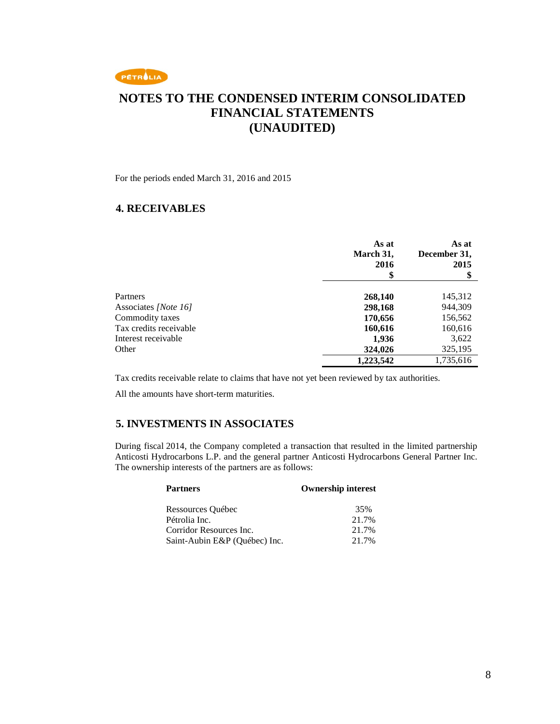

For the periods ended March 31, 2016 and 2015

### **4. RECEIVABLES**

|                        | As at<br>March 31,<br>2016<br>\$ | As at<br>December 31,<br>2015<br>\$ |
|------------------------|----------------------------------|-------------------------------------|
| Partners               | 268,140                          | 145,312                             |
| Associates [Note 16]   | 298,168                          | 944,309                             |
| Commodity taxes        | 170,656                          | 156,562                             |
| Tax credits receivable | 160,616                          | 160,616                             |
| Interest receivable    | 1,936                            | 3,622                               |
| Other                  | 324,026                          | 325,195                             |
|                        | 1,223,542                        | 1,735,616                           |

Tax credits receivable relate to claims that have not yet been reviewed by tax authorities.

All the amounts have short-term maturities.

### **5. INVESTMENTS IN ASSOCIATES**

During fiscal 2014, the Company completed a transaction that resulted in the limited partnership Anticosti Hydrocarbons L.P. and the general partner Anticosti Hydrocarbons General Partner Inc. The ownership interests of the partners are as follows:

| <b>Partners</b>               | <b>Ownership interest</b> |
|-------------------------------|---------------------------|
| Ressources Québec             | 35%                       |
| Pétrolia Inc.                 | 21.7%                     |
| Corridor Resources Inc.       | 21.7%                     |
| Saint-Aubin E&P (Québec) Inc. | 21.7%                     |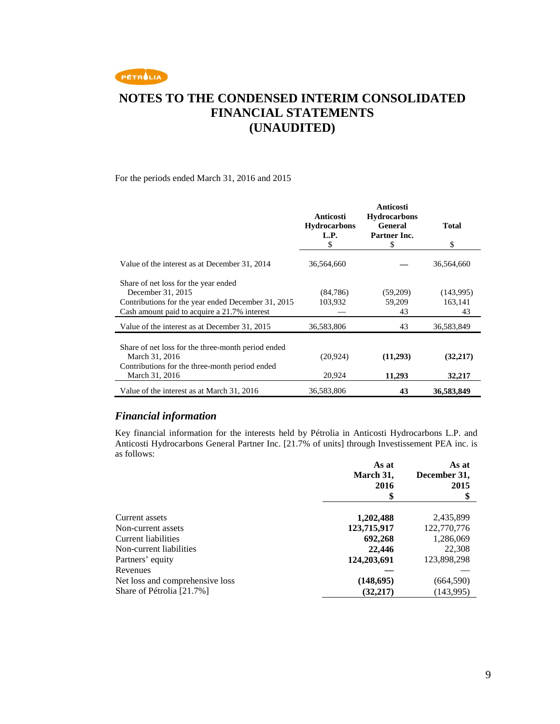

#### For the periods ended March 31, 2016 and 2015

|                                                                                                                                                                 | Anticosti<br><b>Hydrocarbons</b><br>L.P.<br>\$ | <b>Anticosti</b><br><b>Hydrocarbons</b><br><b>General</b><br><b>Partner Inc.</b><br>S | <b>Total</b><br>S          |
|-----------------------------------------------------------------------------------------------------------------------------------------------------------------|------------------------------------------------|---------------------------------------------------------------------------------------|----------------------------|
| Value of the interest as at December 31, 2014                                                                                                                   | 36,564,660                                     |                                                                                       | 36,564,660                 |
| Share of net loss for the year ended<br>December 31, 2015<br>Contributions for the year ended December 31, 2015<br>Cash amount paid to acquire a 21.7% interest | (84, 786)<br>103,932                           | (59,209)<br>59,209<br>43                                                              | (143,995)<br>163,141<br>43 |
| Value of the interest as at December 31, 2015                                                                                                                   | 36,583,806                                     | 43                                                                                    | 36,583,849                 |
| Share of net loss for the three-month period ended<br>March 31, 2016<br>Contributions for the three-month period ended<br>March 31, 2016                        | (20, 924)<br>20,924                            | (11,293)<br>11,293                                                                    | (32, 217)<br>32,217        |
| Value of the interest as at March 31, 2016                                                                                                                      | 36,583,806                                     | 43                                                                                    | 36,583,849                 |

### *Financial information*

Key financial information for the interests held by Pétrolia in Anticosti Hydrocarbons L.P. and Anticosti Hydrocarbons General Partner Inc. [21.7% of units] through Investissement PEA inc. is as follows:

|                                 | As at<br>March 31,<br>2016 | As at<br>December 31,<br>2015 |
|---------------------------------|----------------------------|-------------------------------|
|                                 |                            |                               |
| Current assets                  | 1,202,488                  | 2,435,899                     |
| Non-current assets              | 123,715,917                | 122,770,776                   |
| Current liabilities             | 692,268                    | 1,286,069                     |
| Non-current liabilities         | 22,446                     | 22,308                        |
| Partners' equity                | 124,203,691                | 123,898,298                   |
| Revenues                        |                            |                               |
| Net loss and comprehensive loss | (148, 695)                 | (664, 590)                    |
| Share of Pétrolia [21.7%]       | (32, 217)                  | (143,995)                     |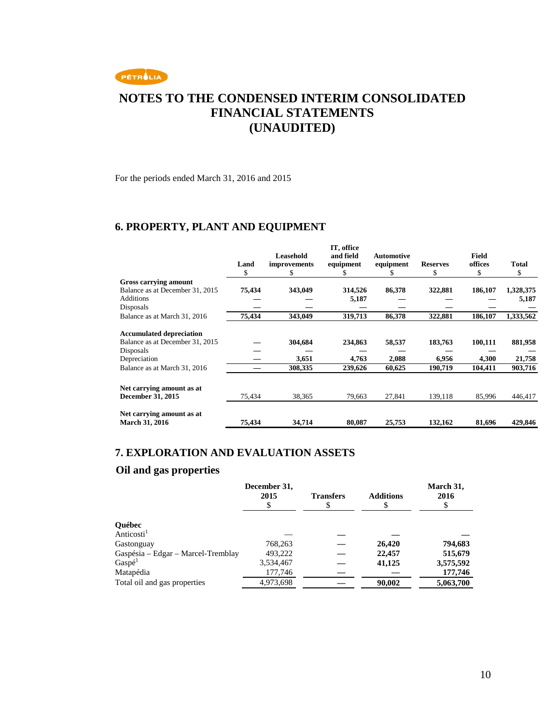

For the periods ended March 31, 2016 and 2015

### **6. PROPERTY, PLANT AND EQUIPMENT**

|                                                    |           | Leasehold         | IT, office<br>and field | <b>Automotive</b> |                      | <b>Field</b>  |             |
|----------------------------------------------------|-----------|-------------------|-------------------------|-------------------|----------------------|---------------|-------------|
|                                                    | Land<br>S | improvements<br>S | equipment               | equipment         | <b>Reserves</b><br>S | offices<br>\$ | Total<br>\$ |
| Gross carrying amount                              |           |                   |                         |                   |                      |               |             |
| Balance as at December 31, 2015                    | 75,434    | 343,049           | 314,526                 | 86,378            | 322,881              | 186,107       | 1,328,375   |
| <b>Additions</b>                                   |           |                   | 5,187                   |                   |                      |               | 5,187       |
| Disposals                                          |           |                   |                         |                   |                      |               |             |
| Balance as at March 31, 2016                       | 75,434    | 343,049           | 319,713                 | 86,378            | 322,881              | 186,107       | 1,333,562   |
| <b>Accumulated depreciation</b>                    |           |                   |                         |                   |                      |               |             |
| Balance as at December 31, 2015                    |           | 304,684           | 234,863                 | 58,537            | 183,763              | 100,111       | 881,958     |
| Disposals                                          |           |                   |                         |                   |                      |               |             |
| Depreciation                                       |           | 3,651             | 4,763                   | 2,088             | 6,956                | 4,300         | 21,758      |
| Balance as at March 31, 2016                       |           | 308,335           | 239,626                 | 60,625            | 190,719              | 104,411       | 903,716     |
| Net carrying amount as at                          |           |                   |                         |                   |                      |               |             |
| December 31, 2015                                  | 75,434    | 38,365            | 79.663                  | 27,841            | 139,118              | 85,996        | 446,417     |
| Net carrying amount as at<br><b>March 31, 2016</b> | 75,434    | 34,714            | 80,087                  | 25,753            | 132,162              | 81,696        | 429,846     |
|                                                    |           |                   |                         |                   |                      |               |             |

### **7. EXPLORATION AND EVALUATION ASSETS**

### **Oil and gas properties**

|                                    | December 31,<br>2015 | <b>Transfers</b> | <b>Additions</b> | March 31,<br>2016 |
|------------------------------------|----------------------|------------------|------------------|-------------------|
|                                    |                      |                  |                  |                   |
| Québec                             |                      |                  |                  |                   |
| Anticosti <sup>1</sup>             |                      |                  |                  |                   |
| Gastonguay                         | 768,263              |                  | 26,420           | 794,683           |
| Gaspésia – Edgar – Marcel-Tremblay | 493,222              |                  | 22,457           | 515,679           |
| Gasp <sup>1</sup>                  | 3,534,467            |                  | 41,125           | 3,575,592         |
| Matapédia                          | 177,746              |                  |                  | 177,746           |
| Total oil and gas properties       | 4,973,698            |                  | 90,002           | 5,063,700         |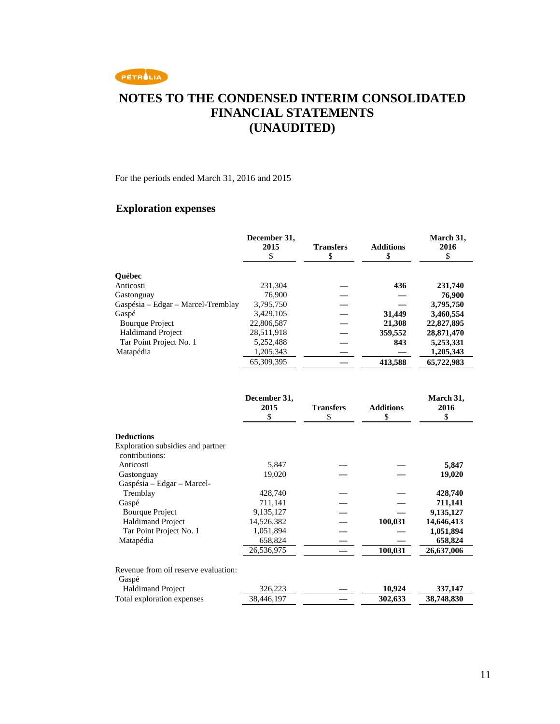

For the periods ended March 31, 2016 and 2015

# **Exploration expenses**

|                                                                          | December 31,               |                        |                        | March 31,               |
|--------------------------------------------------------------------------|----------------------------|------------------------|------------------------|-------------------------|
|                                                                          | 2015                       | <b>Transfers</b>       | <b>Additions</b>       | 2016                    |
|                                                                          | \$                         | \$                     | \$                     | \$                      |
| <b>Ouébec</b>                                                            |                            |                        |                        |                         |
| Anticosti                                                                | 231,304                    |                        | 436                    | 231,740                 |
| Gastonguay                                                               | 76,900                     |                        |                        | 76,900                  |
| Gaspésia - Edgar - Marcel-Tremblay                                       | 3,795,750                  |                        |                        | 3,795,750               |
| Gaspé                                                                    | 3,429,105                  |                        | 31,449                 | 3,460,554               |
| <b>Bourque Project</b>                                                   | 22,806,587                 |                        | 21,308                 | 22,827,895              |
| <b>Haldimand Project</b>                                                 | 28,511,918                 |                        | 359,552                | 28,871,470              |
| Tar Point Project No. 1                                                  | 5,252,488                  |                        | 843                    | 5,253,331               |
| Matapédia                                                                | 1,205,343                  |                        |                        | 1,205,343               |
|                                                                          | 65,309,395                 |                        | 413,588                | 65,722,983              |
|                                                                          | December 31,<br>2015<br>\$ | <b>Transfers</b><br>\$ | <b>Additions</b><br>\$ | March 31,<br>2016<br>\$ |
| <b>Deductions</b><br>Exploration subsidies and partner<br>contributions: |                            |                        |                        |                         |
| Anticosti                                                                | 5,847                      |                        |                        | 5,847                   |
| Gastonguay                                                               | 19,020                     |                        |                        | 19,020                  |
| Gaspésia - Edgar - Marcel-                                               |                            |                        |                        |                         |
| Tremblay                                                                 | 428,740                    |                        |                        | 428,740                 |
| Gaspé                                                                    | 711,141                    |                        |                        | 711,141                 |
| <b>Bourque Project</b>                                                   | 9,135,127                  |                        |                        | 9,135,127               |
| <b>Haldimand Project</b>                                                 | 14,526,382                 |                        | 100,031                | 14,646,413              |
| Tar Point Project No. 1                                                  | 1,051,894                  |                        |                        | 1,051,894               |
| Matapédia                                                                | 658,824                    |                        |                        | 658,824                 |
|                                                                          | 26,536,975                 |                        | 100,031                | 26,637,006              |
| Revenue from oil reserve evaluation:<br>Gaspé                            |                            |                        |                        |                         |
| <b>Haldimand Project</b>                                                 | 326,223                    |                        | 10,924                 | 337,147                 |
| Total exploration expenses                                               | 38,446,197                 |                        | 302,633                | 38,748,830              |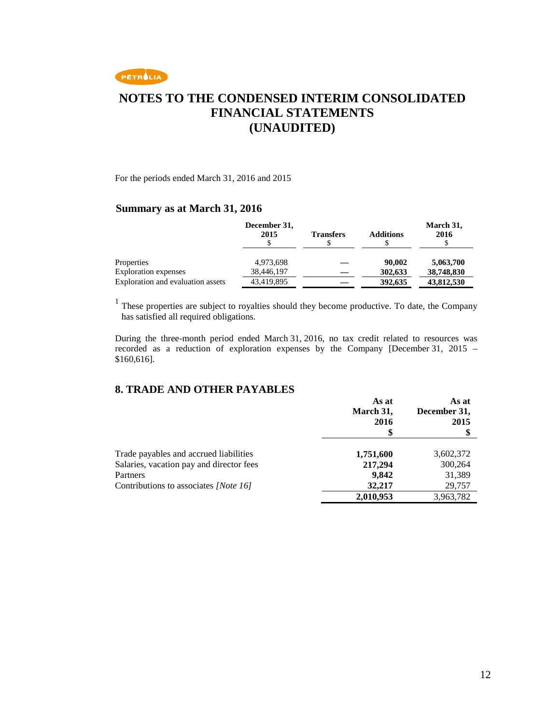

For the periods ended March 31, 2016 and 2015

#### **Summary as at March 31, 2016**

|                                   | December 31,<br>2015 | <b>Transfers</b> | <b>Additions</b> | March 31,<br>2016 |
|-----------------------------------|----------------------|------------------|------------------|-------------------|
| Properties                        | 4,973,698            |                  | 90,002           | 5,063,700         |
| <b>Exploration</b> expenses       | 38,446,197           |                  | 302,633          | 38,748,830        |
| Exploration and evaluation assets | 43,419,895           |                  | 392,635          | 43,812,530        |

<sup>1</sup> These properties are subject to royalties should they become productive. To date, the Company has satisfied all required obligations.

During the three-month period ended March 31, 2016, no tax credit related to resources was recorded as a reduction of exploration expenses by the Company [December 31, 2015 – \$160,616].

### **8. TRADE AND OTHER PAYABLES**

|                                          | As at<br>March 31, | As at<br>December 31, |
|------------------------------------------|--------------------|-----------------------|
|                                          | 2016               | 2015                  |
| Trade payables and accrued liabilities   | 1,751,600          | 3,602,372             |
| Salaries, vacation pay and director fees | 217,294            | 300,264               |
| Partners                                 | 9.842              | 31,389                |
| Contributions to associates [Note 16]    | 32,217             | 29,757                |
|                                          | 2,010,953          | 3,963,782             |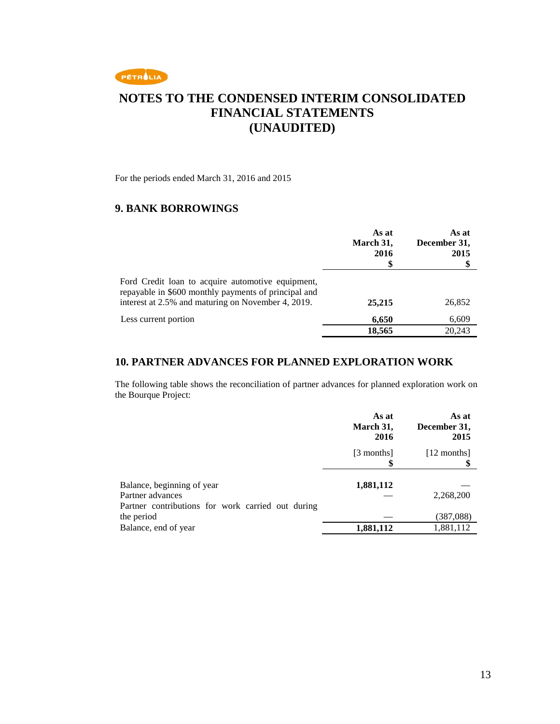

For the periods ended March 31, 2016 and 2015

### **9. BANK BORROWINGS**

|                                                                                                                                                                 | As at<br>March 31,<br>2016<br>\$ | As at<br>December 31,<br>2015<br>\$ |
|-----------------------------------------------------------------------------------------------------------------------------------------------------------------|----------------------------------|-------------------------------------|
| Ford Credit loan to acquire automotive equipment,<br>repayable in \$600 monthly payments of principal and<br>interest at 2.5% and maturing on November 4, 2019. | 25,215                           | 26,852                              |
| Less current portion                                                                                                                                            | 6,650                            | 6,609                               |
|                                                                                                                                                                 | 18,565                           | 20.243                              |

#### **10. PARTNER ADVANCES FOR PLANNED EXPLORATION WORK**

The following table shows the reconciliation of partner advances for planned exploration work on the Bourque Project:

|                                                                                         | As at<br>March 31,<br>2016 | As at<br>December 31,<br>2015 |
|-----------------------------------------------------------------------------------------|----------------------------|-------------------------------|
|                                                                                         | [3 months]                 | [12 months]                   |
| Balance, beginning of year<br>Partner advances                                          | 1,881,112                  | 2,268,200                     |
| Partner contributions for work carried out during<br>the period<br>Balance, end of year | 1,881,112                  | (387,088)<br>1,881,112        |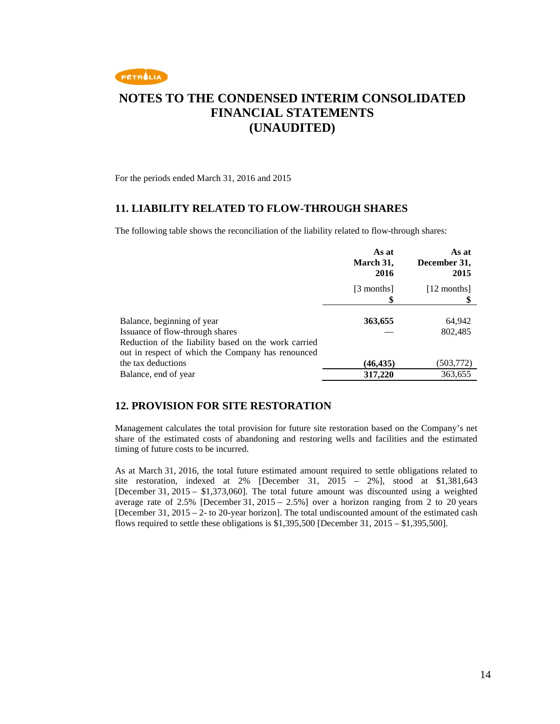

For the periods ended March 31, 2016 and 2015

#### **11. LIABILITY RELATED TO FLOW-THROUGH SHARES**

The following table shows the reconciliation of the liability related to flow-through shares:

|                                                      | As at<br>March 31,<br>2016 | As at<br>December 31,<br>2015 |
|------------------------------------------------------|----------------------------|-------------------------------|
|                                                      | [3 months]                 | [12 months]                   |
|                                                      |                            |                               |
| Balance, beginning of year                           | 363,655                    | 64,942                        |
| Issuance of flow-through shares                      |                            | 802,485                       |
| Reduction of the liability based on the work carried |                            |                               |
| out in respect of which the Company has renounced    |                            |                               |
| the tax deductions                                   | (46, 435)                  | (503, 772)                    |
| Balance, end of year                                 | 317,220                    | 363,655                       |

#### **12. PROVISION FOR SITE RESTORATION**

Management calculates the total provision for future site restoration based on the Company's net share of the estimated costs of abandoning and restoring wells and facilities and the estimated timing of future costs to be incurred.

As at March 31, 2016, the total future estimated amount required to settle obligations related to site restoration, indexed at 2% [December 31, 2015 – 2%], stood at \$1,381,643 [December 31, 2015 – \$1,373,060]. The total future amount was discounted using a weighted average rate of 2.5% [December 31, 2015 – 2.5%] over a horizon ranging from 2 to 20 years [December 31, 2015 – 2- to 20-year horizon]. The total undiscounted amount of the estimated cash flows required to settle these obligations is  $$1,395,500$  [December 31, 2015 –  $$1,395,500$ ].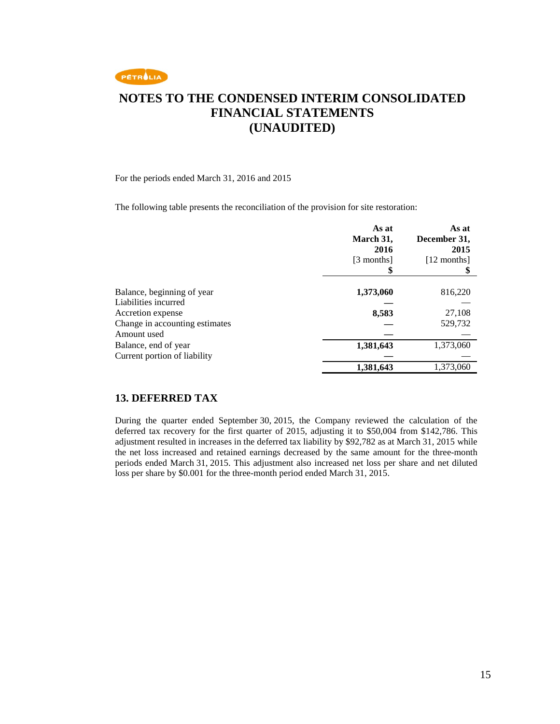

For the periods ended March 31, 2016 and 2015

The following table presents the reconciliation of the provision for site restoration:

|                                | As at<br>March 31,<br>2016<br>[3 months] | As at<br>December 31,<br>2015<br>[12 months] |
|--------------------------------|------------------------------------------|----------------------------------------------|
| Balance, beginning of year     | 1,373,060                                | 816,220                                      |
| Liabilities incurred           |                                          |                                              |
| Accretion expense              | 8,583                                    | 27,108                                       |
| Change in accounting estimates |                                          | 529,732                                      |
| Amount used                    |                                          |                                              |
| Balance, end of year           | 1,381,643                                | 1,373,060                                    |
| Current portion of liability   |                                          |                                              |
|                                | 1,381,643                                | 1,373,060                                    |

#### **13. DEFERRED TAX**

During the quarter ended September 30, 2015, the Company reviewed the calculation of the deferred tax recovery for the first quarter of 2015, adjusting it to \$50,004 from \$142,786. This adjustment resulted in increases in the deferred tax liability by \$92,782 as at March 31, 2015 while the net loss increased and retained earnings decreased by the same amount for the three-month periods ended March 31, 2015. This adjustment also increased net loss per share and net diluted loss per share by \$0.001 for the three-month period ended March 31, 2015.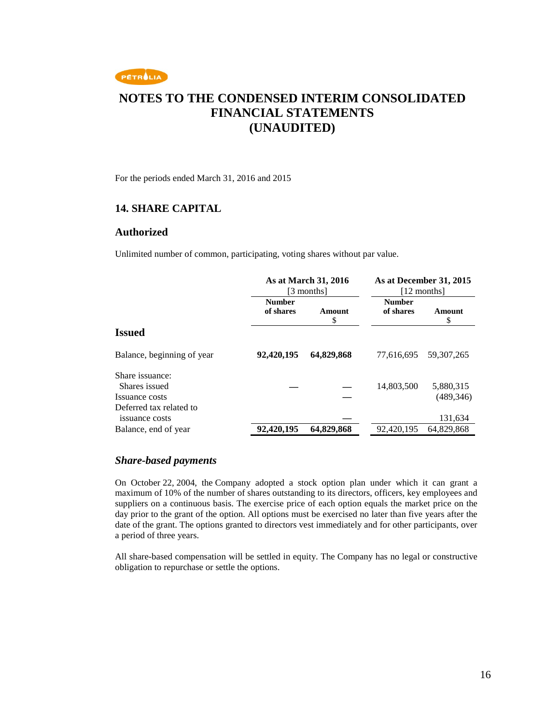

For the periods ended March 31, 2016 and 2015

#### **14. SHARE CAPITAL**

#### **Authorized**

Unlimited number of common, participating, voting shares without par value.

|                                           | As at March 31, 2016<br>[3 months] |              | As at December 31, 2015<br>[12 months] |             |
|-------------------------------------------|------------------------------------|--------------|----------------------------------------|-------------|
|                                           | <b>Number</b><br>of shares         | Amount<br>\$ | <b>Number</b><br>of shares             | Amount<br>S |
| <b>Issued</b>                             |                                    |              |                                        |             |
| Balance, beginning of year                | 92,420,195                         | 64,829,868   | 77.616.695                             | 59.307.265  |
| Share issuance:<br>Shares issued          |                                    |              | 14,803,500                             | 5,880,315   |
| Issuance costs                            |                                    |              |                                        | (489, 346)  |
| Deferred tax related to<br>issuance costs |                                    |              |                                        | 131,634     |
| Balance, end of year                      | 92,420,195                         | 64,829,868   | 92,420,195                             | 64,829,868  |

#### *Share-based payments*

On October 22, 2004, the Company adopted a stock option plan under which it can grant a maximum of 10% of the number of shares outstanding to its directors, officers, key employees and suppliers on a continuous basis. The exercise price of each option equals the market price on the day prior to the grant of the option. All options must be exercised no later than five years after the date of the grant. The options granted to directors vest immediately and for other participants, over a period of three years.

All share-based compensation will be settled in equity. The Company has no legal or constructive obligation to repurchase or settle the options.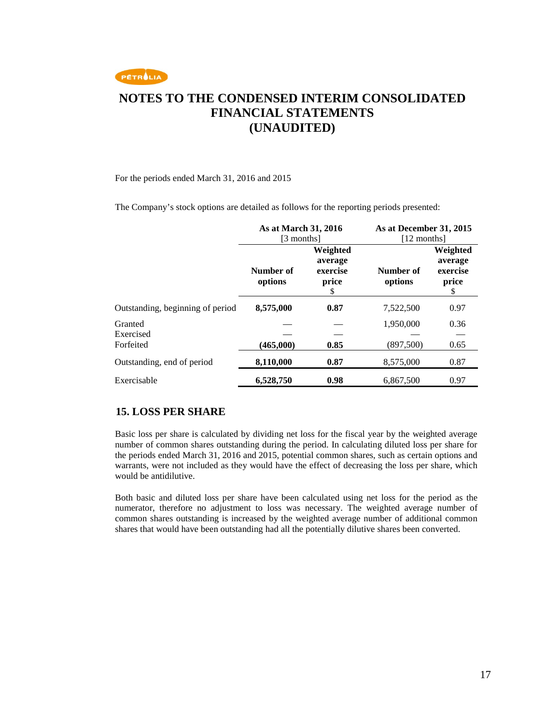

#### For the periods ended March 31, 2016 and 2015

The Company's stock options are detailed as follows for the reporting periods presented:

|                                   | As at March 31, 2016<br>[3 months] |                                               | As at December 31, 2015<br>[12 months] |                                               |
|-----------------------------------|------------------------------------|-----------------------------------------------|----------------------------------------|-----------------------------------------------|
|                                   | Number of<br>options               | Weighted<br>average<br>exercise<br>price<br>S | Number of<br>options                   | Weighted<br>average<br>exercise<br>price<br>S |
| Outstanding, beginning of period  | 8,575,000                          | 0.87                                          | 7,522,500                              | 0.97                                          |
| Granted<br>Exercised<br>Forfeited | (465,000)                          | 0.85                                          | 1,950,000<br>(897,500)                 | 0.36<br>0.65                                  |
| Outstanding, end of period        | 8,110,000                          | 0.87                                          | 8,575,000                              | 0.87                                          |
| Exercisable                       | 6,528,750                          | 0.98                                          | 6,867,500                              | 0.97                                          |

### **15. LOSS PER SHARE**

Basic loss per share is calculated by dividing net loss for the fiscal year by the weighted average number of common shares outstanding during the period. In calculating diluted loss per share for the periods ended March 31, 2016 and 2015, potential common shares, such as certain options and warrants, were not included as they would have the effect of decreasing the loss per share, which would be antidilutive.

Both basic and diluted loss per share have been calculated using net loss for the period as the numerator, therefore no adjustment to loss was necessary. The weighted average number of common shares outstanding is increased by the weighted average number of additional common shares that would have been outstanding had all the potentially dilutive shares been converted.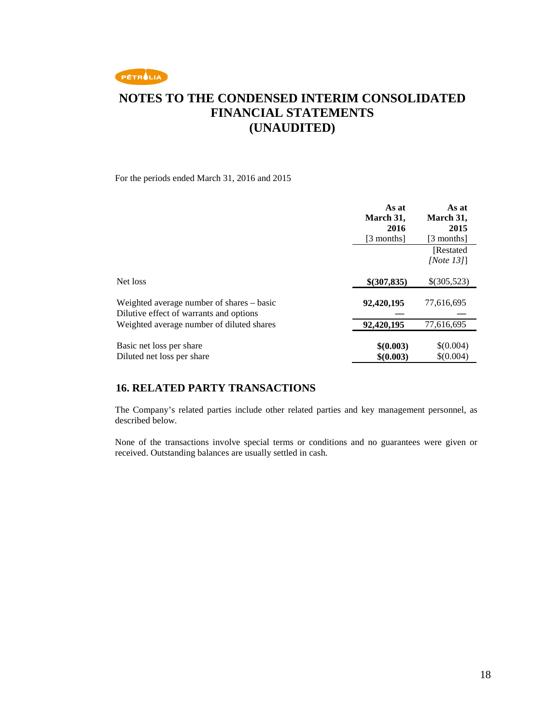

For the periods ended March 31, 2016 and 2015

|                                                                                      | As at<br>March 31,     | As at<br>March 31,     |
|--------------------------------------------------------------------------------------|------------------------|------------------------|
|                                                                                      | 2016                   | 2015                   |
|                                                                                      | [3 months]             | [3 months]             |
|                                                                                      |                        | [Restated]             |
|                                                                                      |                        | [Note $13$ ]]          |
| Net loss                                                                             | \$(307,835)            | \$(305,523)            |
| Weighted average number of shares – basic<br>Dilutive effect of warrants and options | 92,420,195             | 77,616,695             |
| Weighted average number of diluted shares                                            | 92,420,195             | 77,616,695             |
| Basic net loss per share<br>Diluted net loss per share                               | \$(0.003)<br>\$(0.003) | \$(0.004)<br>\$(0.004) |

### **16. RELATED PARTY TRANSACTIONS**

The Company's related parties include other related parties and key management personnel, as described below.

None of the transactions involve special terms or conditions and no guarantees were given or received. Outstanding balances are usually settled in cash.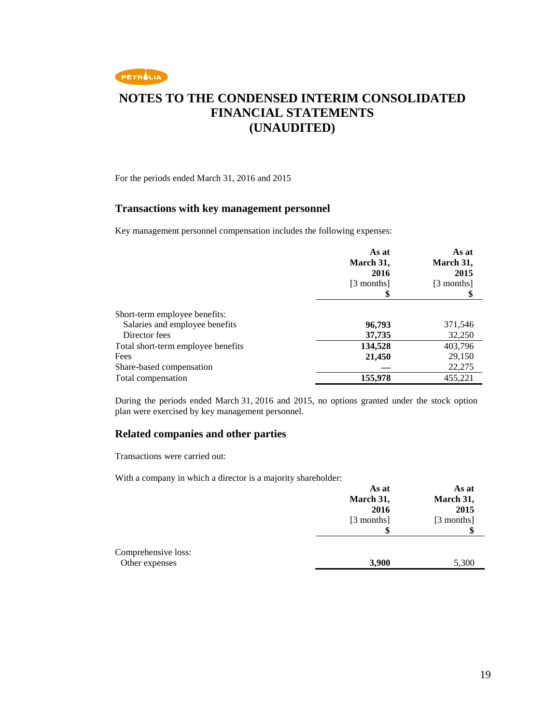

For the periods ended March 31, 2016 and 2015

#### **Transactions with key management personnel**

Key management personnel compensation includes the following expenses:

|                                    | As at<br>March 31,<br>2016<br>[3 months] | As at<br>March 31,<br>2015<br>[3 months] |
|------------------------------------|------------------------------------------|------------------------------------------|
|                                    |                                          |                                          |
| Short-term employee benefits:      |                                          |                                          |
| Salaries and employee benefits     | 96,793                                   | 371,546                                  |
| Director fees                      | 37,735                                   | 32,250                                   |
| Total short-term employee benefits | 134,528                                  | 403,796                                  |
| Fees                               | 21,450                                   | 29,150                                   |
| Share-based compensation           |                                          | 22,275                                   |
| Total compensation                 | 155,978                                  | 455,221                                  |

During the periods ended March 31, 2016 and 2015, no options granted under the stock option plan were exercised by key management personnel.

#### **Related companies and other parties**

Transactions were carried out:

With a company in which a director is a majority shareholder:

|                     | As at<br>March 31, | As at<br>March 31, |
|---------------------|--------------------|--------------------|
|                     | 2016               | 2015               |
|                     | [3 months]         | [3 months]         |
|                     |                    | \$                 |
| Comprehensive loss: |                    |                    |
| Other expenses      | 3,900              | 5,300              |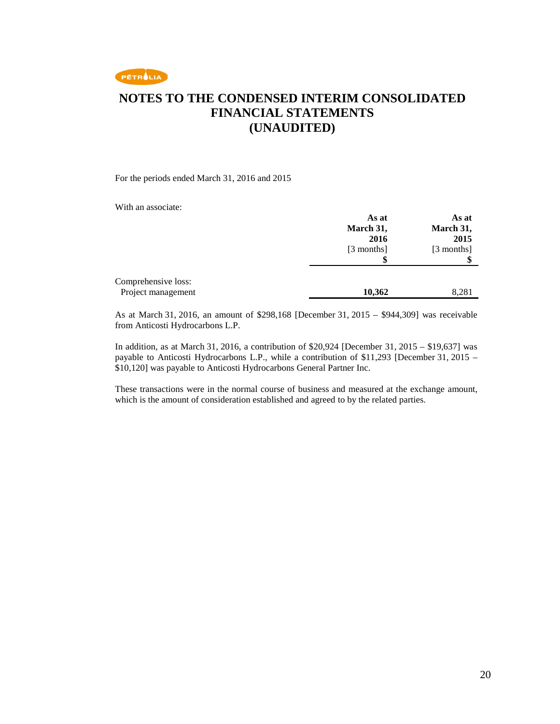

For the periods ended March 31, 2016 and 2015

With an associate:

|                                           | As at<br>March 31,<br>2016<br>[3 months] | As at<br>March 31,<br>2015<br>[3 months] |
|-------------------------------------------|------------------------------------------|------------------------------------------|
|                                           |                                          |                                          |
| Comprehensive loss:<br>Project management | 10,362                                   | 8,281                                    |

As at March 31, 2016, an amount of \$298,168 [December 31, 2015 – \$944,309] was receivable from Anticosti Hydrocarbons L.P.

In addition, as at March 31, 2016, a contribution of \$20,924 [December 31, 2015 – \$19,637] was payable to Anticosti Hydrocarbons L.P., while a contribution of \$11,293 [December 31, 2015 – \$10,120] was payable to Anticosti Hydrocarbons General Partner Inc.

These transactions were in the normal course of business and measured at the exchange amount, which is the amount of consideration established and agreed to by the related parties.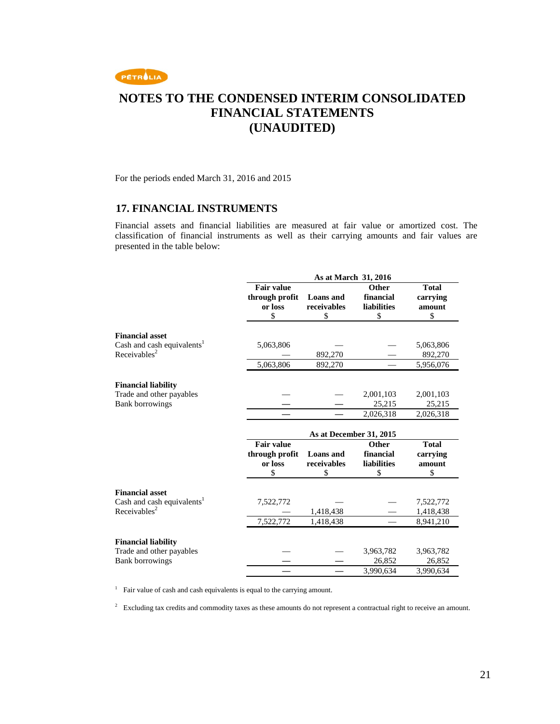

For the periods ended March 31, 2016 and 2015

#### **17. FINANCIAL INSTRUMENTS**

Financial assets and financial liabilities are measured at fair value or amortized cost. The classification of financial instruments as well as their carrying amounts and fair values are presented in the table below:

|                                                    | As at March 31, 2016 |                         |                     |                     |
|----------------------------------------------------|----------------------|-------------------------|---------------------|---------------------|
|                                                    | <b>Fair value</b>    |                         | <b>Other</b>        | <b>Total</b>        |
|                                                    | through profit       | <b>Loans</b> and        | financial           | carrying            |
|                                                    | or loss              | receivables             | <b>liabilities</b>  | amount              |
|                                                    | \$                   | \$                      | \$                  | \$                  |
| <b>Financial asset</b>                             |                      |                         |                     |                     |
| Cash and cash equivalents <sup>1</sup>             | 5,063,806            |                         |                     | 5,063,806           |
| Receivables <sup>2</sup>                           |                      | 892,270                 |                     | 892,270             |
|                                                    | 5,063,806            | 892,270                 |                     | 5,956,076           |
|                                                    |                      |                         |                     |                     |
| <b>Financial liability</b>                         |                      |                         |                     |                     |
| Trade and other payables                           |                      |                         | 2,001,103           | 2,001,103           |
| <b>Bank borrowings</b>                             |                      |                         | 25,215              | 25,215              |
|                                                    |                      |                         | 2,026,318           | 2,026,318           |
|                                                    |                      |                         |                     |                     |
|                                                    |                      | As at December 31, 2015 |                     |                     |
|                                                    | <b>Fair value</b>    |                         | Other               | <b>Total</b>        |
|                                                    | through profit       | <b>Loans</b> and        | financial           | carrying            |
|                                                    | or loss              | receivables             | <b>liabilities</b>  | amount              |
|                                                    | \$                   | \$                      | \$                  | \$                  |
|                                                    |                      |                         |                     |                     |
| <b>Financial asset</b>                             |                      |                         |                     |                     |
| Cash and cash equivalents <sup>1</sup>             | 7,522,772            |                         |                     | 7,522,772           |
| Receivables <sup>2</sup>                           |                      | 1,418,438               |                     | 1,418,438           |
|                                                    | 7,522,772            | 1,418,438               |                     | 8,941,210           |
|                                                    |                      |                         |                     |                     |
|                                                    |                      |                         |                     |                     |
| <b>Financial liability</b>                         |                      |                         |                     |                     |
| Trade and other payables<br><b>Bank borrowings</b> |                      |                         | 3,963,782<br>26,852 | 3,963,782<br>26,852 |

<sup>1</sup> Fair value of cash and cash equivalents is equal to the carrying amount.

<sup>2</sup> Excluding tax credits and commodity taxes as these amounts do not represent a contractual right to receive an amount.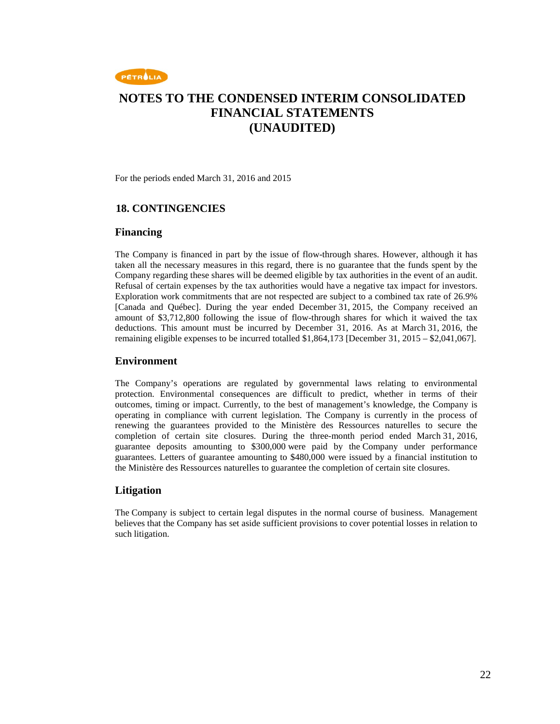

For the periods ended March 31, 2016 and 2015

#### **18. CONTINGENCIES**

#### **Financing**

The Company is financed in part by the issue of flow-through shares. However, although it has taken all the necessary measures in this regard, there is no guarantee that the funds spent by the Company regarding these shares will be deemed eligible by tax authorities in the event of an audit. Refusal of certain expenses by the tax authorities would have a negative tax impact for investors. Exploration work commitments that are not respected are subject to a combined tax rate of 26.9% [Canada and Québec]. During the year ended December 31, 2015, the Company received an amount of \$3,712,800 following the issue of flow-through shares for which it waived the tax deductions. This amount must be incurred by December 31, 2016. As at March 31, 2016, the remaining eligible expenses to be incurred totalled \$1,864,173 [December 31, 2015 – \$2,041,067].

#### **Environment**

The Company's operations are regulated by governmental laws relating to environmental protection. Environmental consequences are difficult to predict, whether in terms of their outcomes, timing or impact. Currently, to the best of management's knowledge, the Company is operating in compliance with current legislation. The Company is currently in the process of renewing the guarantees provided to the Ministère des Ressources naturelles to secure the completion of certain site closures. During the three-month period ended March 31, 2016, guarantee deposits amounting to \$300,000 were paid by the Company under performance guarantees. Letters of guarantee amounting to \$480,000 were issued by a financial institution to the Ministère des Ressources naturelles to guarantee the completion of certain site closures.

### **Litigation**

The Company is subject to certain legal disputes in the normal course of business. Management believes that the Company has set aside sufficient provisions to cover potential losses in relation to such litigation.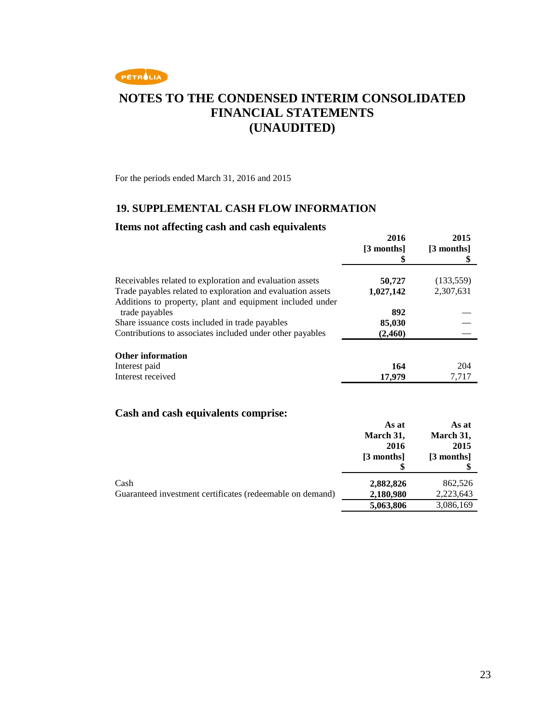

For the periods ended March 31, 2016 and 2015

### **19. SUPPLEMENTAL CASH FLOW INFORMATION**

#### **Items not affecting cash and cash equivalents**

| $\frac{1}{2}$                                               | 2016<br>[3 months]<br>S | 2015<br>[3 months]<br>\$ |
|-------------------------------------------------------------|-------------------------|--------------------------|
| Receivables related to exploration and evaluation assets    | 50,727                  | (133, 559)               |
| Trade payables related to exploration and evaluation assets | 1,027,142               | 2,307,631                |
| Additions to property, plant and equipment included under   |                         |                          |
| trade payables                                              | 892                     |                          |
| Share issuance costs included in trade payables             | 85,030                  |                          |
| Contributions to associates included under other payables   | (2,460)                 |                          |
| <b>Other information</b>                                    |                         |                          |
| Interest paid                                               | 164                     | 204                      |
| Interest received                                           | 17,979                  | 7,717                    |

### **Cash and cash equivalents comprise:**

|                                                           | As at<br>March 31,<br>2016<br>[3 months] | As at<br>March 31,<br>2015<br>[3 months] |
|-----------------------------------------------------------|------------------------------------------|------------------------------------------|
| Cash                                                      | 2,882,826                                | 862,526                                  |
| Guaranteed investment certificates (redeemable on demand) | 2,180,980<br>5,063,806                   | 2,223,643<br>3,086,169                   |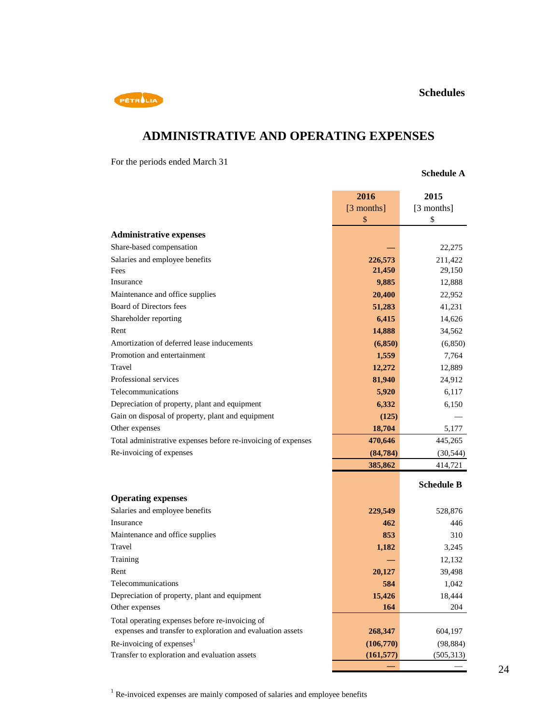

# **ADMINISTRATIVE AND OPERATING EXPENSES**

For the periods ended March 31

#### **Schedule A**

| [3 months]<br>[3 months]<br>\$<br>\$<br><b>Administrative expenses</b><br>Share-based compensation<br>22,275<br>Salaries and employee benefits<br>226,573<br>211,422<br>21,450<br>29,150<br>Fees<br>9,885<br>Insurance<br>12,888<br>Maintenance and office supplies<br>20,400<br>22,952<br>Board of Directors fees<br>51,283<br>41,231<br>Shareholder reporting<br>6,415<br>14,626<br>Rent<br>14,888<br>34,562<br>Amortization of deferred lease inducements<br>(6,850)<br>(6, 850)<br>Promotion and entertainment<br>1,559<br>7,764<br>Travel<br>12,272<br>12,889<br>Professional services<br>81,940<br>24,912<br>Telecommunications<br>5,920<br>6,117<br>Depreciation of property, plant and equipment<br>6,332<br>6,150<br>Gain on disposal of property, plant and equipment<br>(125)<br>18,704<br>Other expenses<br>5,177<br>470,646<br>Total administrative expenses before re-invoicing of expenses<br>445,265<br>Re-invoicing of expenses<br>(84, 784)<br>(30, 544)<br>385,862<br>414,721<br><b>Schedule B</b><br><b>Operating expenses</b><br>Salaries and employee benefits<br>229,549<br>528,876<br>Insurance<br>462<br>446<br>Maintenance and office supplies<br>853<br>310<br>Travel<br>1,182<br>3,245<br>Training<br>12,132<br>Rent<br>20,127<br>39,498<br>Telecommunications<br>584<br>1,042<br>Depreciation of property, plant and equipment<br>15,426<br>18,444<br>164<br>Other expenses<br>204<br>Total operating expenses before re-invoicing of<br>expenses and transfer to exploration and evaluation assets<br>268,347<br>604,197<br>Re-invoicing of expenses <sup>1</sup><br>(106,770)<br>(98, 884)<br>Transfer to exploration and evaluation assets<br>(161, 577)<br>(505, 313) | 2016 | 2015 |
|--------------------------------------------------------------------------------------------------------------------------------------------------------------------------------------------------------------------------------------------------------------------------------------------------------------------------------------------------------------------------------------------------------------------------------------------------------------------------------------------------------------------------------------------------------------------------------------------------------------------------------------------------------------------------------------------------------------------------------------------------------------------------------------------------------------------------------------------------------------------------------------------------------------------------------------------------------------------------------------------------------------------------------------------------------------------------------------------------------------------------------------------------------------------------------------------------------------------------------------------------------------------------------------------------------------------------------------------------------------------------------------------------------------------------------------------------------------------------------------------------------------------------------------------------------------------------------------------------------------------------------------------------------------------------------------------------------|------|------|
|                                                                                                                                                                                                                                                                                                                                                                                                                                                                                                                                                                                                                                                                                                                                                                                                                                                                                                                                                                                                                                                                                                                                                                                                                                                                                                                                                                                                                                                                                                                                                                                                                                                                                                        |      |      |
|                                                                                                                                                                                                                                                                                                                                                                                                                                                                                                                                                                                                                                                                                                                                                                                                                                                                                                                                                                                                                                                                                                                                                                                                                                                                                                                                                                                                                                                                                                                                                                                                                                                                                                        |      |      |
|                                                                                                                                                                                                                                                                                                                                                                                                                                                                                                                                                                                                                                                                                                                                                                                                                                                                                                                                                                                                                                                                                                                                                                                                                                                                                                                                                                                                                                                                                                                                                                                                                                                                                                        |      |      |
|                                                                                                                                                                                                                                                                                                                                                                                                                                                                                                                                                                                                                                                                                                                                                                                                                                                                                                                                                                                                                                                                                                                                                                                                                                                                                                                                                                                                                                                                                                                                                                                                                                                                                                        |      |      |
|                                                                                                                                                                                                                                                                                                                                                                                                                                                                                                                                                                                                                                                                                                                                                                                                                                                                                                                                                                                                                                                                                                                                                                                                                                                                                                                                                                                                                                                                                                                                                                                                                                                                                                        |      |      |
|                                                                                                                                                                                                                                                                                                                                                                                                                                                                                                                                                                                                                                                                                                                                                                                                                                                                                                                                                                                                                                                                                                                                                                                                                                                                                                                                                                                                                                                                                                                                                                                                                                                                                                        |      |      |
|                                                                                                                                                                                                                                                                                                                                                                                                                                                                                                                                                                                                                                                                                                                                                                                                                                                                                                                                                                                                                                                                                                                                                                                                                                                                                                                                                                                                                                                                                                                                                                                                                                                                                                        |      |      |
|                                                                                                                                                                                                                                                                                                                                                                                                                                                                                                                                                                                                                                                                                                                                                                                                                                                                                                                                                                                                                                                                                                                                                                                                                                                                                                                                                                                                                                                                                                                                                                                                                                                                                                        |      |      |
|                                                                                                                                                                                                                                                                                                                                                                                                                                                                                                                                                                                                                                                                                                                                                                                                                                                                                                                                                                                                                                                                                                                                                                                                                                                                                                                                                                                                                                                                                                                                                                                                                                                                                                        |      |      |
|                                                                                                                                                                                                                                                                                                                                                                                                                                                                                                                                                                                                                                                                                                                                                                                                                                                                                                                                                                                                                                                                                                                                                                                                                                                                                                                                                                                                                                                                                                                                                                                                                                                                                                        |      |      |
|                                                                                                                                                                                                                                                                                                                                                                                                                                                                                                                                                                                                                                                                                                                                                                                                                                                                                                                                                                                                                                                                                                                                                                                                                                                                                                                                                                                                                                                                                                                                                                                                                                                                                                        |      |      |
|                                                                                                                                                                                                                                                                                                                                                                                                                                                                                                                                                                                                                                                                                                                                                                                                                                                                                                                                                                                                                                                                                                                                                                                                                                                                                                                                                                                                                                                                                                                                                                                                                                                                                                        |      |      |
|                                                                                                                                                                                                                                                                                                                                                                                                                                                                                                                                                                                                                                                                                                                                                                                                                                                                                                                                                                                                                                                                                                                                                                                                                                                                                                                                                                                                                                                                                                                                                                                                                                                                                                        |      |      |
|                                                                                                                                                                                                                                                                                                                                                                                                                                                                                                                                                                                                                                                                                                                                                                                                                                                                                                                                                                                                                                                                                                                                                                                                                                                                                                                                                                                                                                                                                                                                                                                                                                                                                                        |      |      |
|                                                                                                                                                                                                                                                                                                                                                                                                                                                                                                                                                                                                                                                                                                                                                                                                                                                                                                                                                                                                                                                                                                                                                                                                                                                                                                                                                                                                                                                                                                                                                                                                                                                                                                        |      |      |
|                                                                                                                                                                                                                                                                                                                                                                                                                                                                                                                                                                                                                                                                                                                                                                                                                                                                                                                                                                                                                                                                                                                                                                                                                                                                                                                                                                                                                                                                                                                                                                                                                                                                                                        |      |      |
|                                                                                                                                                                                                                                                                                                                                                                                                                                                                                                                                                                                                                                                                                                                                                                                                                                                                                                                                                                                                                                                                                                                                                                                                                                                                                                                                                                                                                                                                                                                                                                                                                                                                                                        |      |      |
|                                                                                                                                                                                                                                                                                                                                                                                                                                                                                                                                                                                                                                                                                                                                                                                                                                                                                                                                                                                                                                                                                                                                                                                                                                                                                                                                                                                                                                                                                                                                                                                                                                                                                                        |      |      |
|                                                                                                                                                                                                                                                                                                                                                                                                                                                                                                                                                                                                                                                                                                                                                                                                                                                                                                                                                                                                                                                                                                                                                                                                                                                                                                                                                                                                                                                                                                                                                                                                                                                                                                        |      |      |
|                                                                                                                                                                                                                                                                                                                                                                                                                                                                                                                                                                                                                                                                                                                                                                                                                                                                                                                                                                                                                                                                                                                                                                                                                                                                                                                                                                                                                                                                                                                                                                                                                                                                                                        |      |      |
|                                                                                                                                                                                                                                                                                                                                                                                                                                                                                                                                                                                                                                                                                                                                                                                                                                                                                                                                                                                                                                                                                                                                                                                                                                                                                                                                                                                                                                                                                                                                                                                                                                                                                                        |      |      |
|                                                                                                                                                                                                                                                                                                                                                                                                                                                                                                                                                                                                                                                                                                                                                                                                                                                                                                                                                                                                                                                                                                                                                                                                                                                                                                                                                                                                                                                                                                                                                                                                                                                                                                        |      |      |
|                                                                                                                                                                                                                                                                                                                                                                                                                                                                                                                                                                                                                                                                                                                                                                                                                                                                                                                                                                                                                                                                                                                                                                                                                                                                                                                                                                                                                                                                                                                                                                                                                                                                                                        |      |      |
|                                                                                                                                                                                                                                                                                                                                                                                                                                                                                                                                                                                                                                                                                                                                                                                                                                                                                                                                                                                                                                                                                                                                                                                                                                                                                                                                                                                                                                                                                                                                                                                                                                                                                                        |      |      |
|                                                                                                                                                                                                                                                                                                                                                                                                                                                                                                                                                                                                                                                                                                                                                                                                                                                                                                                                                                                                                                                                                                                                                                                                                                                                                                                                                                                                                                                                                                                                                                                                                                                                                                        |      |      |
|                                                                                                                                                                                                                                                                                                                                                                                                                                                                                                                                                                                                                                                                                                                                                                                                                                                                                                                                                                                                                                                                                                                                                                                                                                                                                                                                                                                                                                                                                                                                                                                                                                                                                                        |      |      |
|                                                                                                                                                                                                                                                                                                                                                                                                                                                                                                                                                                                                                                                                                                                                                                                                                                                                                                                                                                                                                                                                                                                                                                                                                                                                                                                                                                                                                                                                                                                                                                                                                                                                                                        |      |      |
|                                                                                                                                                                                                                                                                                                                                                                                                                                                                                                                                                                                                                                                                                                                                                                                                                                                                                                                                                                                                                                                                                                                                                                                                                                                                                                                                                                                                                                                                                                                                                                                                                                                                                                        |      |      |
|                                                                                                                                                                                                                                                                                                                                                                                                                                                                                                                                                                                                                                                                                                                                                                                                                                                                                                                                                                                                                                                                                                                                                                                                                                                                                                                                                                                                                                                                                                                                                                                                                                                                                                        |      |      |
|                                                                                                                                                                                                                                                                                                                                                                                                                                                                                                                                                                                                                                                                                                                                                                                                                                                                                                                                                                                                                                                                                                                                                                                                                                                                                                                                                                                                                                                                                                                                                                                                                                                                                                        |      |      |
|                                                                                                                                                                                                                                                                                                                                                                                                                                                                                                                                                                                                                                                                                                                                                                                                                                                                                                                                                                                                                                                                                                                                                                                                                                                                                                                                                                                                                                                                                                                                                                                                                                                                                                        |      |      |
|                                                                                                                                                                                                                                                                                                                                                                                                                                                                                                                                                                                                                                                                                                                                                                                                                                                                                                                                                                                                                                                                                                                                                                                                                                                                                                                                                                                                                                                                                                                                                                                                                                                                                                        |      |      |
|                                                                                                                                                                                                                                                                                                                                                                                                                                                                                                                                                                                                                                                                                                                                                                                                                                                                                                                                                                                                                                                                                                                                                                                                                                                                                                                                                                                                                                                                                                                                                                                                                                                                                                        |      |      |
|                                                                                                                                                                                                                                                                                                                                                                                                                                                                                                                                                                                                                                                                                                                                                                                                                                                                                                                                                                                                                                                                                                                                                                                                                                                                                                                                                                                                                                                                                                                                                                                                                                                                                                        |      |      |
|                                                                                                                                                                                                                                                                                                                                                                                                                                                                                                                                                                                                                                                                                                                                                                                                                                                                                                                                                                                                                                                                                                                                                                                                                                                                                                                                                                                                                                                                                                                                                                                                                                                                                                        |      |      |
|                                                                                                                                                                                                                                                                                                                                                                                                                                                                                                                                                                                                                                                                                                                                                                                                                                                                                                                                                                                                                                                                                                                                                                                                                                                                                                                                                                                                                                                                                                                                                                                                                                                                                                        |      |      |
|                                                                                                                                                                                                                                                                                                                                                                                                                                                                                                                                                                                                                                                                                                                                                                                                                                                                                                                                                                                                                                                                                                                                                                                                                                                                                                                                                                                                                                                                                                                                                                                                                                                                                                        |      |      |
|                                                                                                                                                                                                                                                                                                                                                                                                                                                                                                                                                                                                                                                                                                                                                                                                                                                                                                                                                                                                                                                                                                                                                                                                                                                                                                                                                                                                                                                                                                                                                                                                                                                                                                        |      |      |

<sup>1</sup> Re-invoiced expenses are mainly composed of salaries and employee benefits